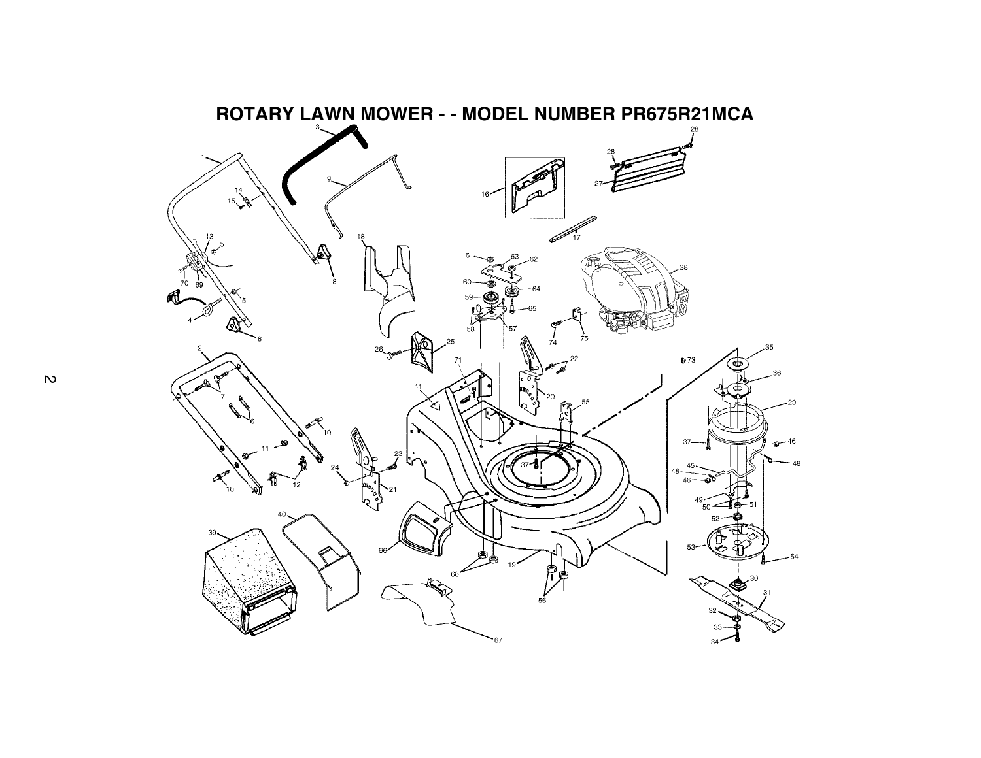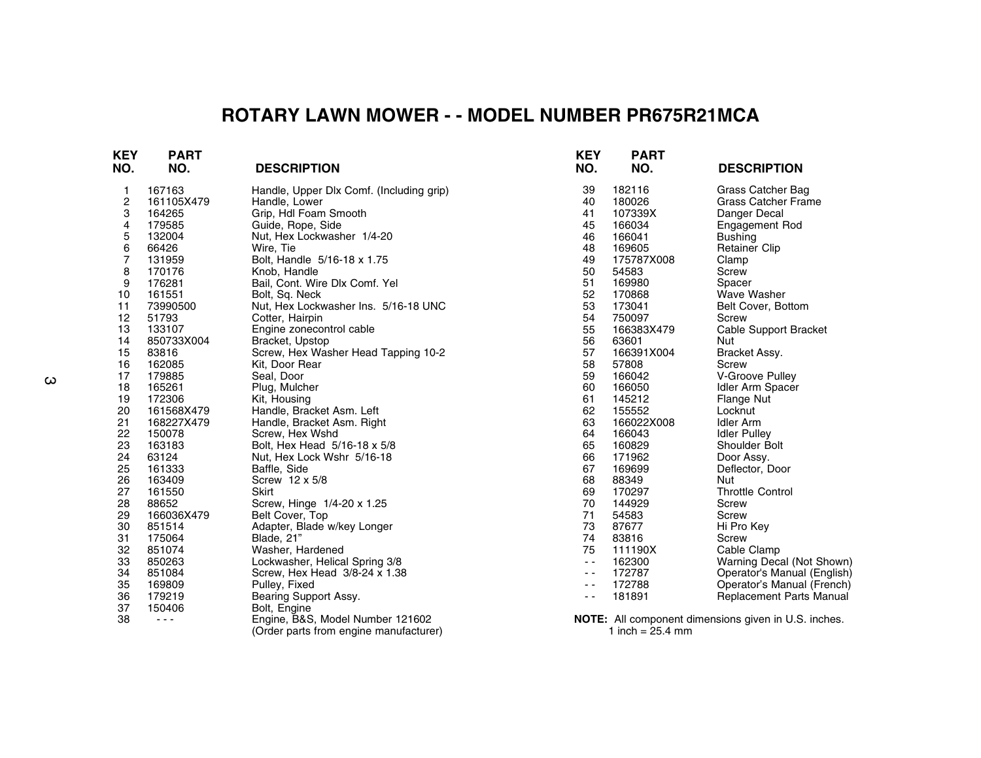## **ROTARY LAWN MOWER - - MODEL NUMBER PR675R21MCA**

| KEY<br>NO. | <b>PART</b><br>NO. | <b>DESCRIPTION</b>                       | <b>KEY</b><br>NO. | <b>PART</b><br>NO. | <b>DESCRIPTION</b>                                          |
|------------|--------------------|------------------------------------------|-------------------|--------------------|-------------------------------------------------------------|
| 1          | 167163             | Handle, Upper Dlx Comf. (Including grip) | 39                | 182116             | Grass Catcher Bag                                           |
| 2          | 161105X479         | Handle, Lower                            | 40                | 180026             | <b>Grass Catcher Frame</b>                                  |
| 3          | 164265             | Grip, Hdl Foam Smooth                    | 41                | 107339X            | Danger Decal                                                |
| 4          | 179585             | Guide, Rope, Side                        | 45                | 166034             | <b>Engagement Rod</b>                                       |
| 5          | 132004             | Nut, Hex Lockwasher 1/4-20               | 46                | 166041             | <b>Bushing</b>                                              |
| 6          | 66426              | Wire, Tie                                | 48                | 169605             | <b>Retainer Clip</b>                                        |
| 7          | 131959             | Bolt, Handle 5/16-18 x 1.75              | 49                | 175787X008         | Clamp                                                       |
| 8          | 170176             | Knob, Handle                             | 50                | 54583              | Screw                                                       |
| 9          | 176281             | Bail, Cont. Wire Dlx Comf. Yel           | 51                | 169980             | Spacer                                                      |
| 10         | 161551             | Bolt, Sq. Neck                           | 52                | 170868             | <b>Wave Washer</b>                                          |
| 11         | 73990500           | Nut, Hex Lockwasher Ins. 5/16-18 UNC     | 53                | 173041             | Belt Cover, Bottom                                          |
| 12         | 51793              | Cotter, Hairpin                          | 54                | 750097             | Screw                                                       |
| 13         | 133107             | Engine zonecontrol cable                 | 55                | 166383X479         | Cable Support Bracket                                       |
| 14         | 850733X004         | Bracket, Upstop                          | 56                | 63601              | Nut                                                         |
| 15         | 83816              | Screw, Hex Washer Head Tapping 10-2      | 57                | 166391X004         | Bracket Assy.                                               |
| 16         | 162085             | Kit, Door Rear                           | 58                | 57808              | Screw                                                       |
| 17         | 179885             | Seal, Door                               | 59                | 166042             | V-Groove Pulley                                             |
| 18         | 165261             | Plug, Mulcher                            | 60                | 166050             | Idler Arm Spacer                                            |
| 19         | 172306             | Kit, Housing                             | 61                | 145212             | Flange Nut                                                  |
| 20         | 161568X479         | Handle, Bracket Asm. Left                | 62                | 155552             | Locknut                                                     |
| 21         | 168227X479         | Handle, Bracket Asm. Right               | 63                | 166022X008         | Idler Arm                                                   |
| 22         | 150078             | Screw, Hex Wshd                          | 64                | 166043             | <b>Idler Pulley</b>                                         |
| 23         | 163183             | Bolt, Hex Head 5/16-18 x 5/8             | 65                | 160829             | Shoulder Bolt                                               |
| 24         | 63124              | Nut, Hex Lock Wshr 5/16-18               | 66                | 171962             | Door Assy.                                                  |
| 25         | 161333             | Baffle, Side                             | 67                | 169699             | Deflector, Door                                             |
| 26         | 163409             | Screw 12 x 5/8                           | 68                | 88349              | <b>Nut</b>                                                  |
| 27         | 161550             | Skirt                                    | 69                | 170297             | <b>Throttle Control</b>                                     |
| 28         | 88652              | Screw, Hinge 1/4-20 x 1.25               | 70                | 144929             | Screw                                                       |
| 29         | 166036X479         | Belt Cover, Top                          | 71                | 54583              | Screw                                                       |
| 30         | 851514             | Adapter, Blade w/key Longer              | 73                | 87677              | Hi Pro Key                                                  |
| 31         | 175064             | Blade, 21"                               | 74                | 83816              | Screw                                                       |
| 32         | 851074             | Washer, Hardened                         | 75                | 111190X            | Cable Clamp                                                 |
| 33         | 850263             | Lockwasher, Helical Spring 3/8           | $\sim$ $\sim$     | 162300             | Warning Decal (Not Shown)                                   |
| 34         | 851084             | Screw, Hex Head 3/8-24 x 1.38            | $\sim$ $\sim$     | 172787             | Operator's Manual (English)                                 |
| 35         | 169809             | Pulley, Fixed                            | ٠.                | 172788             | Operator's Manual (French)                                  |
| 36         | 179219             | Bearing Support Assy.                    | ٠.                | 181891             | Replacement Parts Manual                                    |
| 37         | 150406             | Bolt, Engine                             |                   |                    |                                                             |
| 38         | $- - -$            | Engine, B&S, Model Number 121602         |                   |                    | <b>NOTE:</b> All component dimensions given in U.S. inches. |
|            |                    | (Order parts from engine manufacturer)   |                   | 1 inch = $25.4$ mm |                                                             |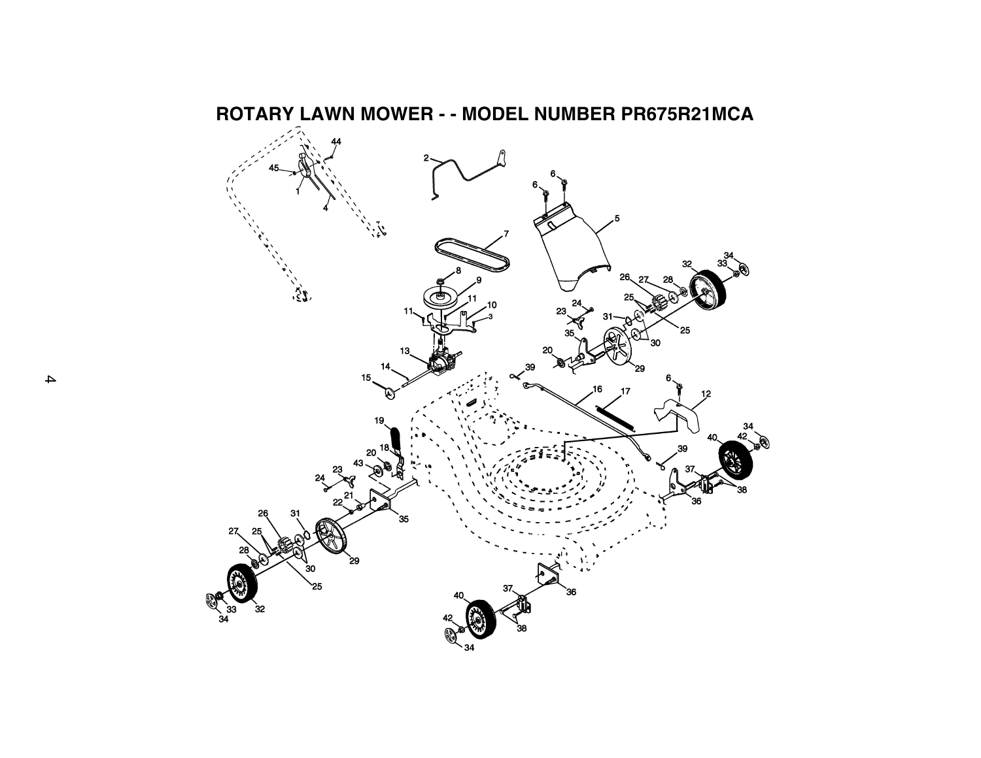

**ROTARY LAWN MOWER - - MODEL NUMBER PR675R21MCA**